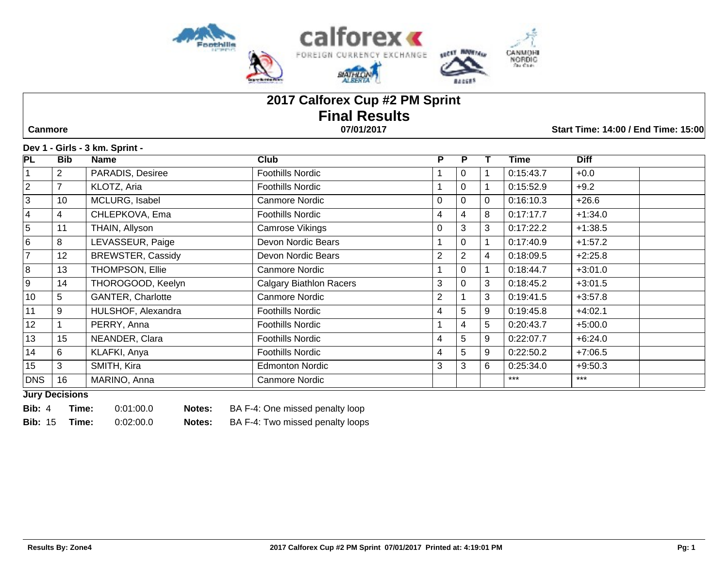

# **2017 Calforex Cup #2 PM Sprint Final Results Canmore 07/01/2017 Start Time: 14:00 / End Time: 15:00**

#### **Dev 1 - Girls - 3 km. Sprint -**

| $\overline{\mathsf{PL}}$ | <b>Bib</b>      | <b>Name</b>              | Club                           | P | P              |    | Time      | <b>Diff</b> |
|--------------------------|-----------------|--------------------------|--------------------------------|---|----------------|----|-----------|-------------|
|                          | $\overline{2}$  | PARADIS, Desiree         | Foothills Nordic               |   | 0              |    | 0:15:43.7 | $+0.0$      |
| $\overline{2}$           | $\overline{7}$  | KLOTZ, Aria              | Foothills Nordic               |   | $\Omega$       |    | 0:15:52.9 | $+9.2$      |
| 3                        | 10              | MCLURG, Isabel           | Canmore Nordic                 | 0 | $\mathbf 0$    | 0  | 0:16:10.3 | $+26.6$     |
| 4                        | 4               | CHLEPKOVA, Ema           | <b>Foothills Nordic</b>        | 4 | 4              | 8  | 0:17:17.7 | $+1:34.0$   |
| 5                        | 11              | THAIN, Allyson           | Camrose Vikings                | 0 | 3              | 3  | 0:17:22.2 | $+1:38.5$   |
| 6                        | 8               | LEVASSEUR, Paige         | Devon Nordic Bears             |   | $\mathbf 0$    |    | 0:17:40.9 | $+1:57.2$   |
| $\overline{7}$           | 12 <sup>°</sup> | <b>BREWSTER, Cassidy</b> | Devon Nordic Bears             | 2 | $\overline{2}$ | 4  | 0:18:09.5 | $+2:25.8$   |
| 8                        | 13              | THOMPSON, Ellie          | Canmore Nordic                 |   | $\Omega$       |    | 0:18:44.7 | $+3:01.0$   |
| 9                        | 14              | THOROGOOD, Keelyn        | <b>Calgary Biathlon Racers</b> | 3 | $\Omega$       | 3  | 0:18:45.2 | $+3:01.5$   |
| 10 <sup>1</sup>          | $5\phantom{.0}$ | <b>GANTER, Charlotte</b> | Canmore Nordic                 | 2 |                | 3  | 0:19:41.5 | $+3:57.8$   |
| 11                       | 9               | HULSHOF, Alexandra       | Foothills Nordic               | 4 | 5              | 9  | 0:19:45.8 | $+4:02.1$   |
| 12                       |                 | PERRY, Anna              | <b>Foothills Nordic</b>        |   | 4              | 5  | 0:20:43.7 | $+5:00.0$   |
| 13                       | 15              | NEANDER, Clara           | Foothills Nordic               | 4 | 5              | 9  | 0:22:07.7 | $+6:24.0$   |
| 14                       | 6               | KLAFKI, Anya             | Foothills Nordic               | 4 | 5              | 9  | 0:22:50.2 | $+7:06.5$   |
| 15                       | 3               | SMITH, Kira              | <b>Edmonton Nordic</b>         | 3 | 3              | 6. | 0:25:34.0 | $+9:50.3$   |
| <b>DNS</b>               | 16              | MARINO, Anna             | Canmore Nordic                 |   |                |    | $***$     | $***$       |

**Jury Decisions**

**Bib:** 4 **Time:** 0:01:00.0 **Notes:** BA F-4: One missed penalty loop

**Bib:** 15 **Time:** 0:02:00.0 **Notes:** BA F-4: Two missed penalty loops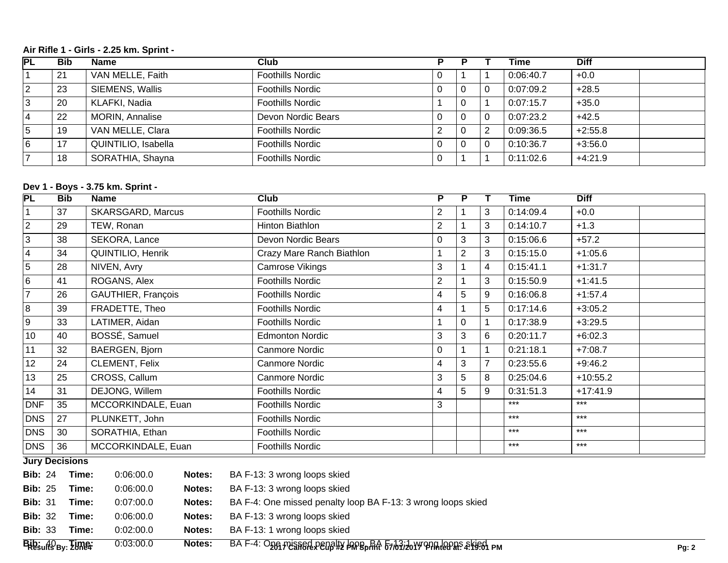## **Air Rifle 1 - Girls - 2.25 km. Sprint -**

| <b>PL</b>      | <b>Bib</b> | <b>Name</b>         | Club                    |                |          | <b>Time</b> | <b>Diff</b> |
|----------------|------------|---------------------|-------------------------|----------------|----------|-------------|-------------|
|                | 21         | VAN MELLE, Faith    | <b>Foothills Nordic</b> |                |          | 0:06:40.7   | $+0.0$      |
| $\overline{2}$ | 23         | SIEMENS, Wallis     | <b>Foothills Nordic</b> | $\overline{0}$ | 0        | 0:07:09.2   | $+28.5$     |
| .3             | 20         | KLAFKI, Nadia       | <b>Foothills Nordic</b> |                |          | 0:07:15.7   | $+35.0$     |
| 14             | 22         | MORIN, Annalise     | Devon Nordic Bears      |                | $\Omega$ | 0:07:23.2   | $+42.5$     |
| 5              | 19         | VAN MELLE, Clara    | <b>Foothills Nordic</b> | $\Omega$       | 2        | 0:09:36.5   | $+2:55.8$   |
| 6              | 17         | QUINTILIO, Isabella | <b>Foothills Nordic</b> | $\overline{0}$ | $\Omega$ | 0:10:36.7   | $+3:56.0$   |
|                | 18         | SORATHIA, Shayna    | <b>Foothills Nordic</b> |                |          | 0:11:02.6   | $+4:21.9$   |

## **Dev 1 - Boys - 3.75 km. Sprint -**

| PL                      | <b>Bib</b> | <b>Name</b>              | Club                      | P              | P              |   | <b>Time</b> | <b>Diff</b> |  |
|-------------------------|------------|--------------------------|---------------------------|----------------|----------------|---|-------------|-------------|--|
|                         | 37         | <b>SKARSGARD, Marcus</b> | Foothills Nordic          | $\overline{2}$ |                | 3 | 0:14:09.4   | $+0.0$      |  |
| $\overline{2}$          | 29         | TEW, Ronan               | Hinton Biathlon           | $\overline{c}$ |                | 3 | 0:14:10.7   | $+1.3$      |  |
| 3                       | 38         | SEKORA, Lance            | Devon Nordic Bears        | 0              | 3              | 3 | 0:15:06.6   | $+57.2$     |  |
| $\overline{\mathbf{4}}$ | 34         | QUINTILIO, Henrik        | Crazy Mare Ranch Biathlon |                | $\overline{2}$ | 3 | 0:15:15.0   | $+1:05.6$   |  |
| 5                       | 28         | NIVEN, Avry              | Camrose Vikings           | 3              |                | 4 | 0:15:41.1   | $+1:31.7$   |  |
| 6                       | 41         | ROGANS, Alex             | Foothills Nordic          | 2              |                | 3 | 0:15:50.9   | $+1:41.5$   |  |
| $\overline{7}$          | 26         | GAUTHIER, François       | Foothills Nordic          | 4              | 5              | 9 | 0:16:06.8   | $+1:57.4$   |  |
| 8                       | 39         | FRADETTE, Theo           | Foothills Nordic          | 4              |                | 5 | 0:17:14.6   | $+3:05.2$   |  |
| 9                       | 33         | LATIMER, Aidan           | Foothills Nordic          |                | 0              |   | 0:17:38.9   | $+3:29.5$   |  |
| 10                      | 40         | BOSSÉ, Samuel            | <b>Edmonton Nordic</b>    | 3              | 3              | 6 | 0:20:11.7   | $+6:02.3$   |  |
| 11                      | 32         | BAERGEN, Bjorn           | Canmore Nordic            | 0              |                |   | 0:21:18.1   | $+7:08.7$   |  |
| 12                      | 24         | CLEMENT, Felix           | Canmore Nordic            | 4              | 3              |   | 0:23:55.6   | $+9:46.2$   |  |
| 13                      | 25         | CROSS, Callum            | Canmore Nordic            | 3              | 5              | 8 | 0:25:04.6   | $+10:55.2$  |  |
| 14                      | 31         | DEJONG, Willem           | Foothills Nordic          | 4              | 5              | 9 | 0:31:51.3   | $+17:41.9$  |  |
| <b>DNF</b>              | 35         | MCCORKINDALE, Euan       | Foothills Nordic          | 3              |                |   | $***$       | $***$       |  |
| <b>DNS</b>              | 27         | PLUNKETT, John           | Foothills Nordic          |                |                |   | $***$       | $***$       |  |
| <b>DNS</b>              | 30         | SORATHIA, Ethan          | Foothills Nordic          |                |                |   | $***$       | $***$       |  |
| <b>DNS</b>              | 36         | MCCORKINDALE, Euan       | <b>Foothills Nordic</b>   |                |                |   | $***$       | $***$       |  |

**Jury Decisions**

| BibsuffS By: ZUMBI |       | 0:03:00.0 | Notes: | $B$ A F-4: $O$ <sub>200</sub> <i>p</i> usned penelly baped at $57/67/20$ y ppm leons a kiech pm | <b>Pg: 2</b> |
|--------------------|-------|-----------|--------|-------------------------------------------------------------------------------------------------|--------------|
| <b>Bib: 33</b>     | Time: | 0.02:00.0 | Notes: | BA F-13: 1 wrong loops skied                                                                    |              |
| <b>Bib: 32</b>     | Time: | 0.06:00.0 | Notes: | BA F-13: 3 wrong loops skied                                                                    |              |
| <b>Bib: 31</b>     | Time: | 0.07:00.0 | Notes: | BA F-4: One missed penalty loop BA F-13: 3 wrong loops skied                                    |              |
| <b>Bib: 25</b>     | Time: | 0.06:00.0 | Notes: | BA F-13: 3 wrong loops skied                                                                    |              |
| <b>Bib: 24</b>     | Time: | 0.06:00.0 | Notes: | BA F-13: 3 wrong loops skied                                                                    |              |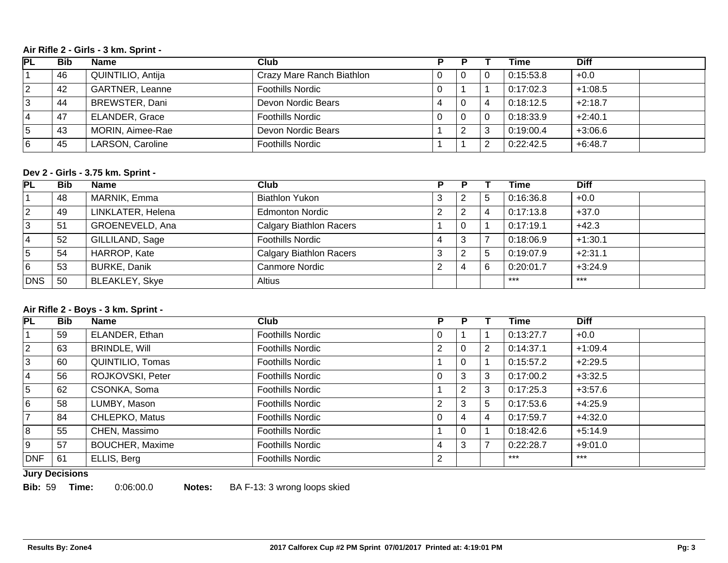#### **Air Rifle 2 - Girls - 3 km. Sprint -**

| <b>PL</b> | <b>Bib</b> | <b>Name</b>            | Club                      |   |          | Time      | <b>Diff</b> |
|-----------|------------|------------------------|---------------------------|---|----------|-----------|-------------|
|           | 46         | QUINTILIO, Antija      | Crazy Mare Ranch Biathlon |   | <b>U</b> | 0:15:53.8 | $+0.0$      |
|           | 42         | <b>GARTNER, Leanne</b> | <b>Foothills Nordic</b>   |   |          | 0:17:02.3 | $+1:08.5$   |
| 3         | 44         | BREWSTER, Dani         | Devon Nordic Bears        | Δ |          | 0:18:12.5 | $+2:18.7$   |
| 4         | 47         | <b>ELANDER, Grace</b>  | <b>Foothills Nordic</b>   |   |          | 0:18:33.9 | $+2:40.1$   |
| 5         | 43         | MORIN, Aimee-Rae       | Devon Nordic Bears        |   |          | 0:19:00.4 | $+3:06.6$   |
| 16        | 45         | LARSON, Caroline       | <b>Foothills Nordic</b>   |   |          | 0:22:42.5 | $+6:48.7$   |

## **Dev 2 - Girls - 3.75 km. Sprint -**

| PL  | <b>Bib</b> | <b>Name</b>           | Club                           |   |    | Time      | <b>Diff</b> |
|-----|------------|-----------------------|--------------------------------|---|----|-----------|-------------|
|     | 48         | MARNIK, Emma          | <b>Biathlon Yukon</b>          | 2 | .C | 0:16:36.8 | $+0.0$      |
| 2   | 49         | LINKLATER, Helena     | <b>Edmonton Nordic</b>         | 2 |    | 0:17:13.8 | $+37.0$     |
| 13  | 51         | GROENEVELD, Ana       | <b>Calgary Biathlon Racers</b> | 0 |    | 0:17:19.1 | $+42.3$     |
| 14  | 52         | GILLILAND, Sage       | <b>Foothills Nordic</b>        | 3 |    | 0:18:06.9 | $+1:30.1$   |
| 5   | 54         | HARROP, Kate          | <b>Calgary Biathlon Racers</b> | 2 |    | 0:19:07.9 | $+2:31.1$   |
| 16  | 53         | <b>BURKE, Danik</b>   | Canmore Nordic                 | 4 |    | 0:20:01.7 | $+3:24.9$   |
| DNS | 50         | <b>BLEAKLEY, Skye</b> | Altius                         |   |    | $***$     | $***$       |

#### **Air Rifle 2 - Boys - 3 km. Sprint -**

| $\overline{\mathsf{PL}}$ | <b>Bib</b> | <b>Name</b>            | Club                    | P. | Р |   | Time      | <b>Diff</b> |
|--------------------------|------------|------------------------|-------------------------|----|---|---|-----------|-------------|
|                          | 59         | ELANDER, Ethan         | Foothills Nordic        | U  |   |   | 0:13:27.7 | $+0.0$      |
| $\overline{2}$           | 63         | <b>BRINDLE, Will</b>   | <b>Foothills Nordic</b> | 2  | 0 |   | 0:14:37.1 | $+1:09.4$   |
| 3                        | 60         | QUINTILIO, Tomas       | <b>Foothills Nordic</b> |    | 0 |   | 0:15:57.2 | $+2:29.5$   |
| 4                        | 56         | ROJKOVSKI, Peter       | <b>Foothills Nordic</b> |    | 3 |   | 0:17:00.2 | $+3:32.5$   |
| 5                        | 62         | CSONKA, Soma           | Foothills Nordic        |    | 2 | 3 | 0:17:25.3 | $+3:57.6$   |
| 6                        | 58         | LUMBY, Mason           | <b>Foothills Nordic</b> |    | 3 | 5 | 0:17:53.6 | $+4:25.9$   |
|                          | 84         | CHLEPKO, Matus         | <b>Foothills Nordic</b> |    | 4 |   | 0:17:59.7 | $+4:32.0$   |
| 8                        | 55         | CHEN, Massimo          | <b>Foothills Nordic</b> |    | 0 |   | 0:18:42.6 | $+5:14.9$   |
| 9                        | 57         | <b>BOUCHER, Maxime</b> | <b>Foothills Nordic</b> | 4  | 3 |   | 0:22:28.7 | $+9:01.0$   |
| <b>DNF</b>               | 61         | ELLIS, Berg            | <b>Foothills Nordic</b> | 2  |   |   | $***$     | $***$       |

## **Jury Decisions**

**Bib:** 59 **Time:** 0:06:00.0 **Notes:** BA F-13: 3 wrong loops skied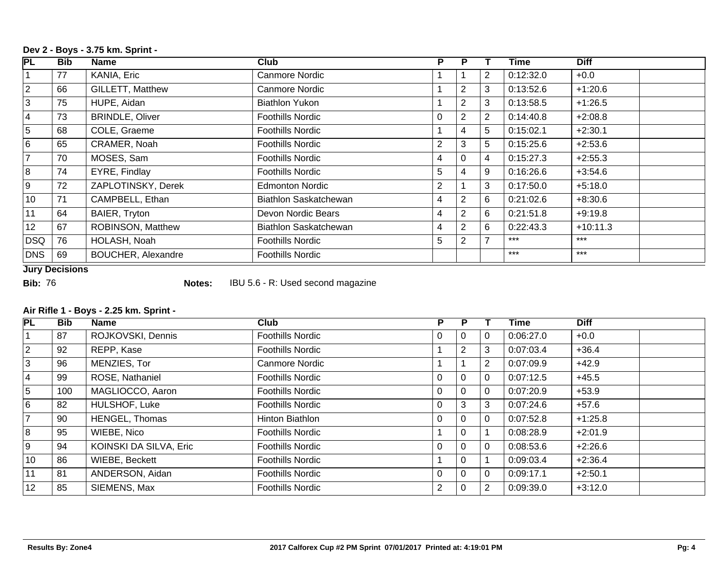## **Dev 2 - Boys - 3.75 km. Sprint -**

| <b>PL</b>       | <b>Bib</b> | Name                      | Club                    | P.             | P.             |                | Time      | <b>Diff</b> |
|-----------------|------------|---------------------------|-------------------------|----------------|----------------|----------------|-----------|-------------|
|                 | 77         | KANIA, Eric               | Canmore Nordic          |                |                | $\overline{2}$ | 0:12:32.0 | $+0.0$      |
| $\overline{2}$  | 66         | <b>GILLETT, Matthew</b>   | <b>Canmore Nordic</b>   |                | 2              | 3              | 0:13:52.6 | $+1:20.6$   |
| 3               | 75         | HUPE, Aidan               | <b>Biathlon Yukon</b>   |                | 2              | 3              | 0:13:58.5 | $+1:26.5$   |
| $\overline{4}$  | 73         | <b>BRINDLE, Oliver</b>    | <b>Foothills Nordic</b> | $\Omega$       | 2              | $\overline{2}$ | 0:14:40.8 | $+2:08.8$   |
| 5               | 68         | COLE, Graeme              | Foothills Nordic        |                | 4              | 5              | 0:15:02.1 | $+2:30.1$   |
| $6\overline{6}$ | 65         | CRAMER, Noah              | <b>Foothills Nordic</b> | $\overline{2}$ | 3              | 5              | 0:15:25.6 | $+2:53.6$   |
| $\overline{7}$  | 70         | MOSES, Sam                | <b>Foothills Nordic</b> | 4              | $\Omega$       | 4              | 0:15:27.3 | $+2:55.3$   |
| $\overline{8}$  | 74         | EYRE, Findlay             | <b>Foothills Nordic</b> | 5              | 4              | 9              | 0:16:26.6 | $+3:54.6$   |
| 9               | 72         | ZAPLOTINSKY, Derek        | <b>Edmonton Nordic</b>  | 2              |                | 3              | 0:17:50.0 | $+5:18.0$   |
| 10              | 71         | CAMPBELL, Ethan           | Biathlon Saskatchewan   | 4              | $\overline{2}$ | 6              | 0:21:02.6 | $+8:30.6$   |
| 11              | 64         | BAIER, Tryton             | Devon Nordic Bears      | 4              | 2              | 6              | 0:21:51.8 | $+9:19.8$   |
| 12              | 67         | ROBINSON, Matthew         | Biathlon Saskatchewan   | 4              | 2              | 6              | 0:22:43.3 | $+10:11.3$  |
| DSQ             | 76         | HOLASH, Noah              | <b>Foothills Nordic</b> | 5              | 2              | $\overline{7}$ | $***$     | $***$       |
| DNS             | 69         | <b>BOUCHER, Alexandre</b> | <b>Foothills Nordic</b> |                |                |                | $***$     | $***$       |

**Jury Decisions**

**Bib:** 76 **Notes:** IBU 5.6 - R: Used second magazine

## **Air Rifle 1 - Boys - 2.25 km. Sprint -**

| PL             | <b>Bib</b> | <b>Name</b>            | Club                    | P              | D              |                | Time      | <b>Diff</b> |  |
|----------------|------------|------------------------|-------------------------|----------------|----------------|----------------|-----------|-------------|--|
|                | 87         | ROJKOVSKI, Dennis      | <b>Foothills Nordic</b> | 0              | $\mathbf{0}$   | 0              | 0:06:27.0 | $+0.0$      |  |
| $\overline{2}$ | 92         | REPP, Kase             | <b>Foothills Nordic</b> |                | 2              | 3              | 0:07:03.4 | $+36.4$     |  |
| 3              | 96         | MENZIES, Tor           | <b>Canmore Nordic</b>   |                |                | $\overline{2}$ | 0:07:09.9 | $+42.9$     |  |
| 4              | 99         | ROSE, Nathaniel        | <b>Foothills Nordic</b> | 0              | $\Omega$       | $\mathbf 0$    | 0:07:12.5 | $+45.5$     |  |
| 5              | 100        | MAGLIOCCO, Aaron       | <b>Foothills Nordic</b> | 0              | 0              | 0              | 0:07:20.9 | $+53.9$     |  |
| 6              | 82         | HULSHOF, Luke          | <b>Foothills Nordic</b> | $\Omega$       | 3              | 3              | 0:07:24.6 | $+57.6$     |  |
|                | 90         | <b>HENGEL, Thomas</b>  | Hinton Biathlon         | 0              | $\overline{0}$ | 0              | 0:07:52.8 | $+1:25.8$   |  |
| 8              | 95         | WIEBE, Nico            | <b>Foothills Nordic</b> |                | $\Omega$       |                | 0:08:28.9 | $+2:01.9$   |  |
| 9              | 94         | KOINSKI DA SILVA, Eric | <b>Foothills Nordic</b> | $\Omega$       | $\Omega$       | $\Omega$       | 0:08:53.6 | $+2:26.6$   |  |
| 10             | 86         | WIEBE, Beckett         | <b>Foothills Nordic</b> |                | $\mathbf{0}$   |                | 0:09:03.4 | $+2:36.4$   |  |
| 11             | 81         | ANDERSON, Aidan        | <b>Foothills Nordic</b> | $\Omega$       | $\Omega$       | $\Omega$       | 0:09:17.1 | $+2:50.1$   |  |
| 12             | 85         | SIEMENS, Max           | <b>Foothills Nordic</b> | $\overline{2}$ | $\Omega$       | 2              | 0:09:39.0 | $+3:12.0$   |  |